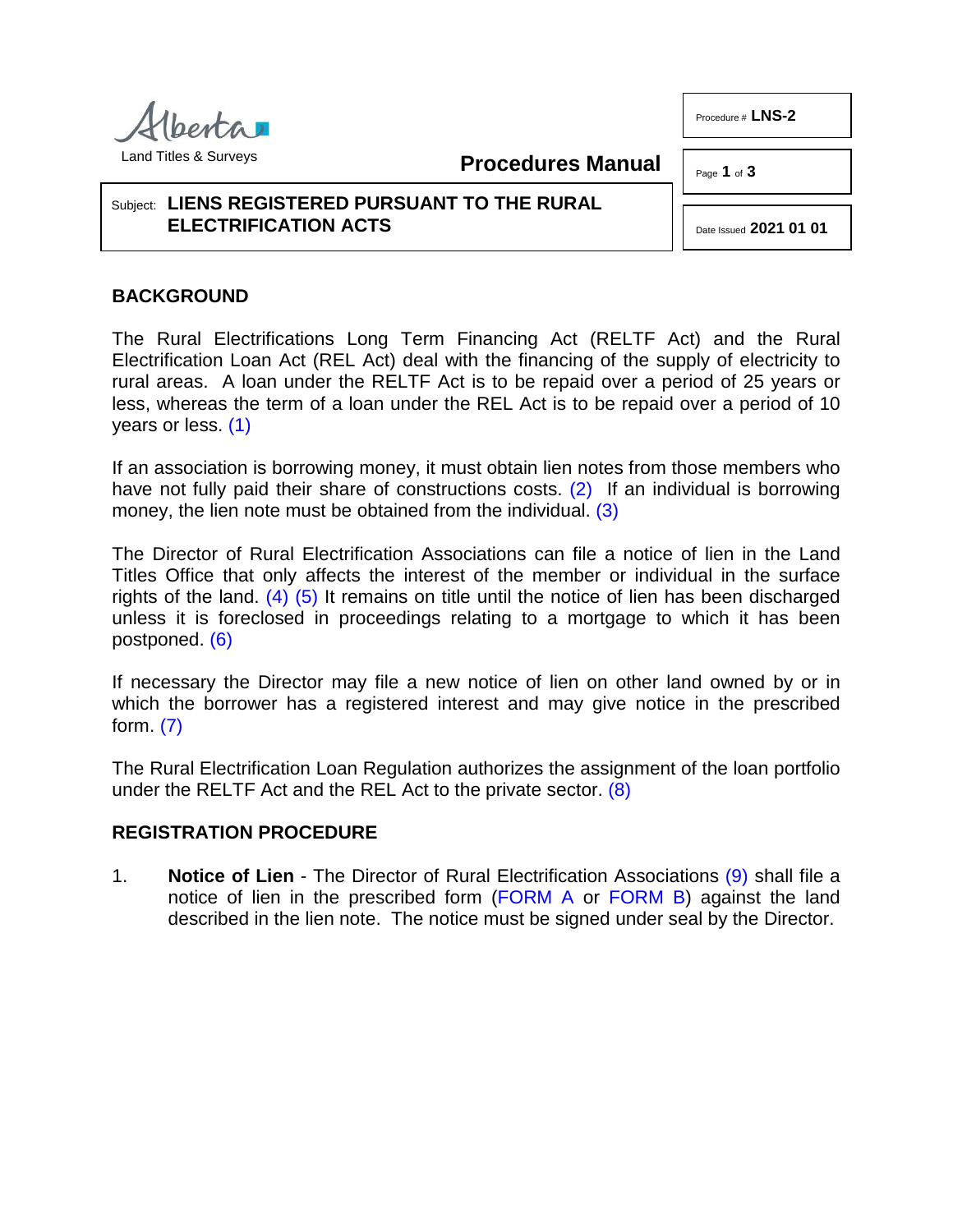

**Procedures Manual**

#### Page **1** of **3**

## Subject: **LIENS REGISTERED PURSUANT TO THE RURAL ELECTRIFICATION ACTS**

<span id="page-0-2"></span><span id="page-0-1"></span>Date Issued **2021 01 01**

## **BACKGROUND**

The Rural Electrifications Long Term Financing Act (RELTF Act) and the Rural Electrification Loan Act (REL Act) deal with the financing of the supply of electricity to rural areas. A loan under the RELTF Act is to be repaid over a period of 25 years or less, whereas the term of a loan under the REL Act is to be repaid over a period of 10 years or less. [\(1\)](#page-2-0)

<span id="page-0-0"></span>If an association is borrowing money, it must obtain lien notes from those members who have not fully paid their share of constructions costs. [\(2\)](#page-2-1) If an individual is borrowing money, the lien note must be obtained from the individual. [\(3\)](#page-2-2)

<span id="page-0-4"></span><span id="page-0-3"></span>The Director of Rural Electrification Associations can file a notice of lien in the Land Titles Office that only affects the interest of the member or individual in the surface rights of the land. [\(4\)](#page-2-3) [\(5\)](#page-2-4) It remains on title until the notice of lien has been discharged unless it is foreclosed in proceedings relating to a mortgage to which it has been postponed. [\(6\)](#page-2-5)

<span id="page-0-6"></span><span id="page-0-5"></span>If necessary the Director may file a new notice of lien on other land owned by or in which the borrower has a registered interest and may give notice in the prescribed form. [\(7\)](#page-2-6)

<span id="page-0-7"></span>The Rural Electrification Loan Regulation authorizes the assignment of the loan portfolio under the RELTF Act and the REL Act to the private sector. [\(8\)](#page-2-7)

## **REGISTRATION PROCEDURE**

<span id="page-0-8"></span>1. **Notice of Lien** - The Director of Rural Electrification Associations [\(9\)](#page-2-8) shall file a notice of lien in the prescribed form [\(FORM A](http://www.servicealberta.ca/pdf/ltmanual/LNS-2-FORMA.pdf) or [FORM B\)](http://www.servicealberta.ca/pdf/ltmanual/LNS-2-FORMB.pdf) against the land described in the lien note. The notice must be signed under seal by the Director.

Procedure # **LNS-2**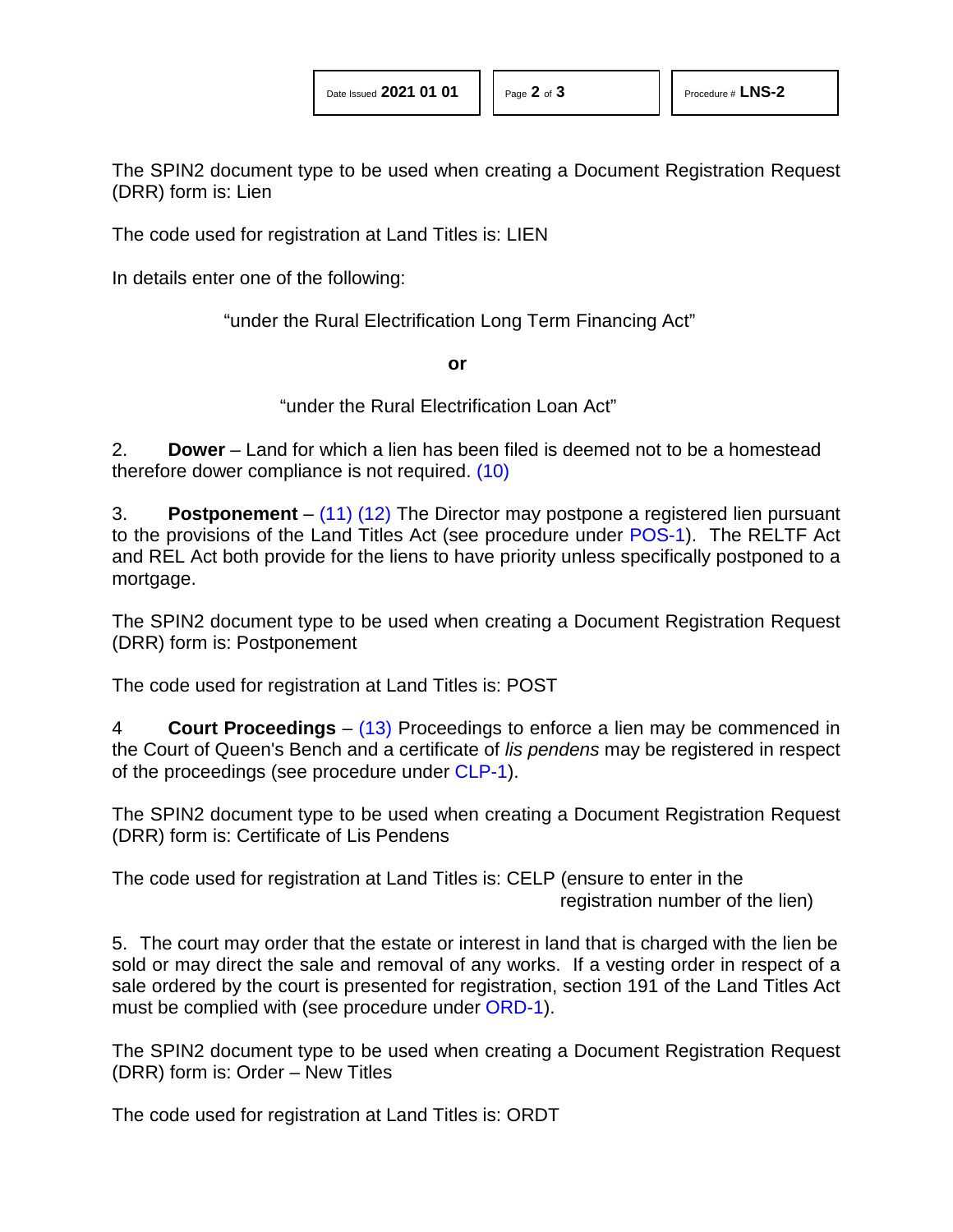The SPIN2 document type to be used when creating a Document Registration Request (DRR) form is: Lien

The code used for registration at Land Titles is: LIEN

In details enter one of the following:

"under the Rural Electrification Long Term Financing Act"

<span id="page-1-0"></span>**or**

<span id="page-1-2"></span><span id="page-1-1"></span>"under the Rural Electrification Loan Act"

2. **Dower** – Land for which a lien has been filed is deemed not to be a homestead therefore dower compliance is not required. [\(10\)](#page-2-9)

3. **Postponement** – [\(11\)](#page-2-10) [\(12\)](#page-2-11) The Director may postpone a registered lien pursuant to the provisions of the Land Titles Act (see procedure under [POS-1\)](http://www.servicealberta.ca/pdf/ltmanual/POS-1.pdf). The RELTF Act and REL Act both provide for the liens to have priority unless specifically postponed to a mortgage.

The SPIN2 document type to be used when creating a Document Registration Request (DRR) form is: Postponement

The code used for registration at Land Titles is: POST

<span id="page-1-3"></span>4 **Court Proceedings** – [\(13\)](#page-2-12) Proceedings to enforce a lien may be commenced in the Court of Queen's Bench and a certificate of *lis pendens* may be registered in respect of the proceedings (see procedure under [CLP-1\)](http://www.servicealberta.ca/pdf/ltmanual/CLP-1.pdf).

The SPIN2 document type to be used when creating a Document Registration Request (DRR) form is: Certificate of Lis Pendens

The code used for registration at Land Titles is: CELP (ensure to enter in the registration number of the lien)

5. The court may order that the estate or interest in land that is charged with the lien be sold or may direct the sale and removal of any works. If a vesting order in respect of a sale ordered by the court is presented for registration, section 191 of the Land Titles Act must be complied with (see procedure under [ORD-1\)](http://www.servicealberta.ca/pdf/ltmanual/ORD-1.pdf).

The SPIN2 document type to be used when creating a Document Registration Request (DRR) form is: Order – New Titles

The code used for registration at Land Titles is: ORDT